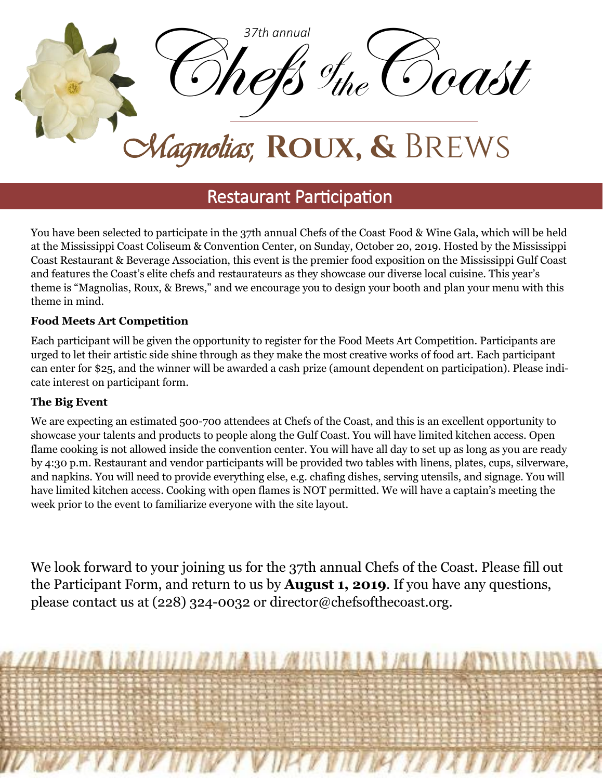

## Restaurant Participation

You have been selected to participate in the 37th annual Chefs of the Coast Food & Wine Gala, which will be held at the Mississippi Coast Coliseum & Convention Center, on Sunday, October 20, 2019. Hosted by the Mississippi Coast Restaurant & Beverage Association, this event is the premier food exposition on the Mississippi Gulf Coast and features the Coast's elite chefs and restaurateurs as they showcase our diverse local cuisine. This year's theme is "Magnolias, Roux, & Brews," and we encourage you to design your booth and plan your menu with this theme in mind.

### **Food Meets Art Competition**

Each participant will be given the opportunity to register for the Food Meets Art Competition. Participants are urged to let their artistic side shine through as they make the most creative works of food art. Each participant can enter for \$25, and the winner will be awarded a cash prize (amount dependent on participation). Please indicate interest on participant form.

### **The Big Event**

We are expecting an estimated 500-700 attendees at Chefs of the Coast, and this is an excellent opportunity to showcase your talents and products to people along the Gulf Coast. You will have limited kitchen access. Open flame cooking is not allowed inside the convention center. You will have all day to set up as long as you are ready by 4:30 p.m. Restaurant and vendor participants will be provided two tables with linens, plates, cups, silverware, and napkins. You will need to provide everything else, e.g. chafing dishes, serving utensils, and signage. You will have limited kitchen access. Cooking with open flames is NOT permitted. We will have a captain's meeting the week prior to the event to familiarize everyone with the site layout.

We look forward to your joining us for the 37th annual Chefs of the Coast. Please fill out the Participant Form, and return to us by **August 1, 2019**. If you have any questions, please contact us at (228) 324-0032 or director@chefsofthecoast.org.